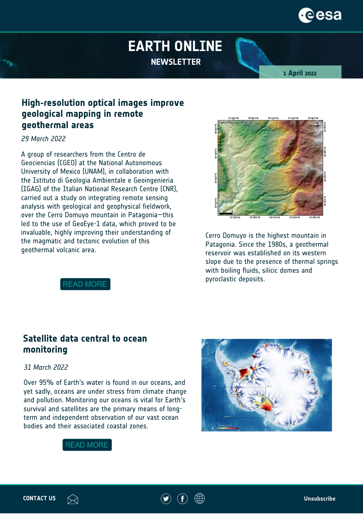# reesa

## **EARTH ONLINE NEWSLETTER**

**1 April 2022**

### **High-resolution optical images improve geological mapping in remote geothermal areas**

#### *29 March 2022*

A group of researchers from the Centro de Geociencias (CGEO) at the National Autonomous University of Mexico (UNAM), in collaboration with the Istituto di Geologia Ambientale e Geoingenieria (IGAG) of the Italian National Research Centre (CNR), carried out a study on integrating remote sensing analysis with geological and geophysical fieldwork, over the Cerro Domuyo mountain in Patagonia—this led to the use of GeoEye-1 data, which proved to be invaluable, highly improving their understanding of the magmatic and tectonic evolution of this geothermal volcanic area.



Cerro Domuyo is the highest mountain in Patagonia. Since the 1980s, a geothermal reservoir was established on its western slope due to the presence of thermal springs with boiling fluids, silicic domes and pyroclastic deposits.

**READ MORE** 

#### **Satellite data central to ocean monitoring**

#### *31 March 2022*

Over 95% of Earth's water is found in our oceans, and yet sadly, oceans are under stress from climate change and pollution. Monitoring our oceans is vital for Earth's survival and satellites are the primary means of longterm and independent observation of our vast ocean bodies and their associated coastal zones.





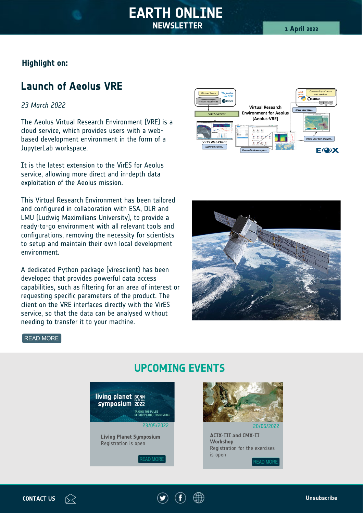#### **Highlight on:**

## **Launch of Aeolus VRE**

#### *23 March 2022*

The Aeolus Virtual Research Environment (VRE) is a cloud service, which provides users with a webbased development environment in the form of a JupyterLab workspace.

It is the latest extension to the VirES for Aeolus service, allowing more direct and in-depth data exploitation of the Aeolus mission.

This Virtual Research Environment has been tailored and configured in collaboration with ESA, DLR and LMU (Ludwig Maximilians University), to provide a ready-to-go environment with all relevant tools and configurations, removing the necessity for scientists to setup and maintain their own local development environment.

A dedicated Python package (viresclient) has been developed that provides powerful data access capabilities, such as filtering for an area of interest or requesting specific parameters of the product. The client on the VRE interfaces directly with the VirES service, so that the data can be analysed without needing to transfer it to your machine.





READ MORE

#### living planet BONN symposium 2022 TAKING THE PULSE<br>OF OUR PLANET FROM SPACE  $23/22$ **Living Planet Symposium** 23/05/2022 20/06/2022 Registration is now open **Living Planet Symposium ACIX-III and CMX-II Workshop** Registration is openRegistration for the exercises [is o](https://lps22.esa.int/)pen **READ MORE**

### **UPCOMING EVENTS**